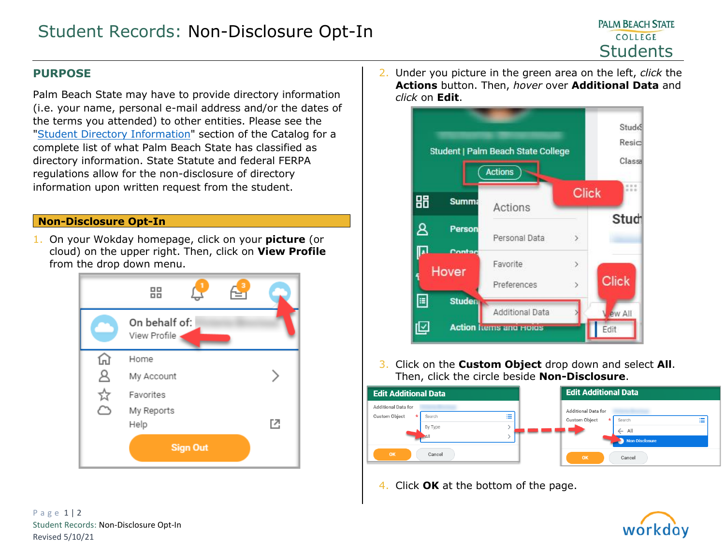## **PURPOSE**

Palm Beach State may have to provide directory information (i.e. your name, personal e-mail address and/or the dates of the terms you attended) to other entities. Please see the ["Student Directory Information"](https://palmbeachstate.smartcatalogiq.com/current/Catalog/Academic-Policies/Security-of-Student-Records) section of the Catalog for a complete list of what Palm Beach State has classified as directory information. State Statute and federal FERPA regulations allow for the non-disclosure of directory information upon written request from the student.

## **Non-Disclosure Opt-In**

1. On your Wokday homepage, click on your **picture** (or cloud) on the upper right. Then, click on **View Profile** from the drop down menu.



2. Under you picture in the green area on the left, *click* the **Actions** button. Then, *hover* over **Additional Data** and *click* on **Edit**.



3. Click on the **Custom Object** drop down and select **All**. Then, click the circle beside **Non-Disclosure**.



4. Click **OK** at the bottom of the page.